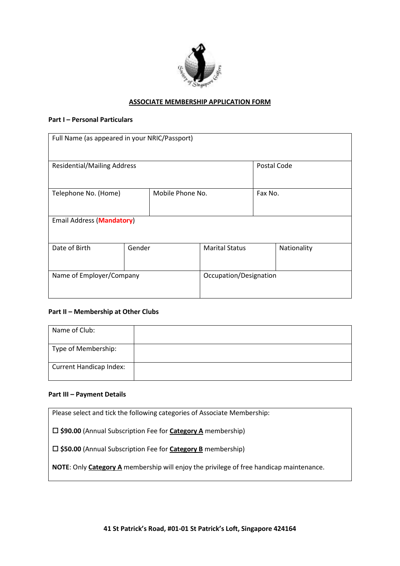

# **ASSOCIATE MEMBERSHIP APPLICATION FORM**

#### **Part I – Personal Particulars**

| Full Name (as appeared in your NRIC/Passport) |        |                  |                        |         |             |  |
|-----------------------------------------------|--------|------------------|------------------------|---------|-------------|--|
| <b>Residential/Mailing Address</b>            |        |                  |                        |         | Postal Code |  |
| Telephone No. (Home)                          |        | Mobile Phone No. |                        | Fax No. |             |  |
| <b>Email Address (Mandatory)</b>              |        |                  |                        |         |             |  |
| Date of Birth                                 | Gender |                  | <b>Marital Status</b>  |         | Nationality |  |
| Name of Employer/Company                      |        |                  | Occupation/Designation |         |             |  |

## **Part II – Membership at Other Clubs**

| Name of Club:                  |  |
|--------------------------------|--|
| Type of Membership:            |  |
| <b>Current Handicap Index:</b> |  |

## **Part III – Payment Details**

Please select and tick the following categories of Associate Membership:

**\$90.00** (Annual Subscription Fee for **Category A** membership)

**\$50.00** (Annual Subscription Fee for **Category B** membership)

**NOTE**: Only **Category A** membership will enjoy the privilege of free handicap maintenance.